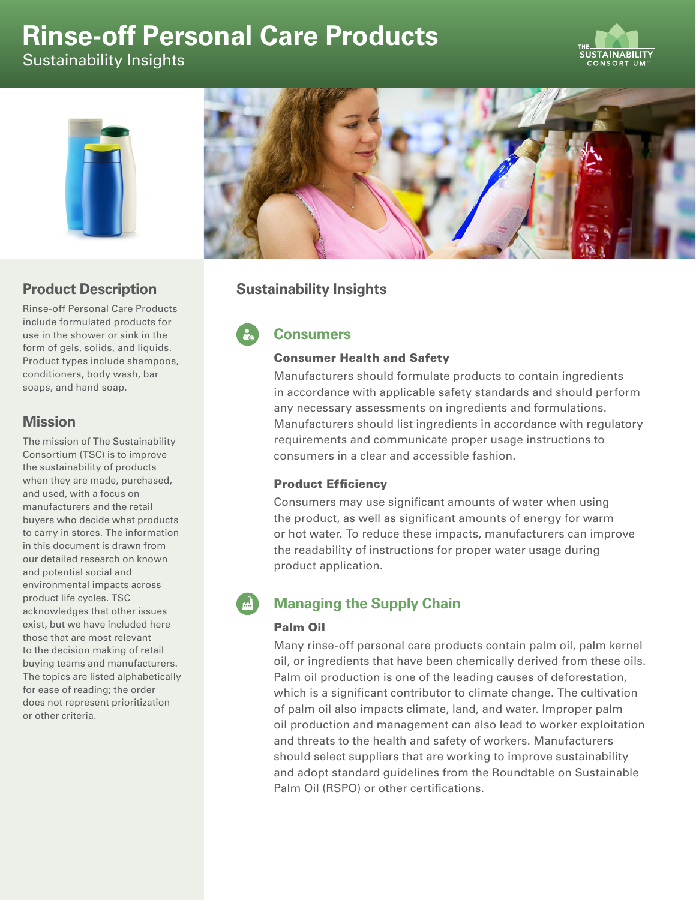# **Rinse-off Personal Care Products**

Sustainability Insights





## **Product Description**

Rinse-off Personal Care Products include formulated products for use in the shower or sink in the form of gels, solids, and liquids. Product types include shampoos, conditioners, body wash, bar soaps, and hand soap.

# **Mission**

The mission of The Sustainability Consortium (TSC) is to improve the sustainability of products when they are made, purchased, and used, with a focus on manufacturers and the retail buyers who decide what products to carry in stores. The information in this document is drawn from our detailed research on known and potential social and environmental impacts across product life cycles. TSC acknowledges that other issues exist, but we have included here those that are most relevant to the decision making of retail buying teams and manufacturers. The topics are listed alphabetically for ease of reading; the order does not represent prioritization or other criteria.



# **Sustainability Insights**

# **Consumers**

#### Consumer Health and Safety

Manufacturers should formulate products to contain ingredients in accordance with applicable safety standards and should perform any necessary assessments on ingredients and formulations. Manufacturers should list ingredients in accordance with regulatory requirements and communicate proper usage instructions to consumers in a clear and accessible fashion.

#### Product Efficiency

Consumers may use significant amounts of water when using the product, as well as significant amounts of energy for warm or hot water. To reduce these impacts, manufacturers can improve the readability of instructions for proper water usage during product application.

# **Managing the Supply Chain**

#### Palm Oil

Many rinse-off personal care products contain palm oil, palm kernel oil, or ingredients that have been chemically derived from these oils. Palm oil production is one of the leading causes of deforestation, which is a significant contributor to climate change. The cultivation of palm oil also impacts climate, land, and water. Improper palm oil production and management can also lead to worker exploitation and threats to the health and safety of workers. Manufacturers should select suppliers that are working to improve sustainability and adopt standard guidelines from the Roundtable on Sustainable Palm Oil (RSPO) or other certifications.